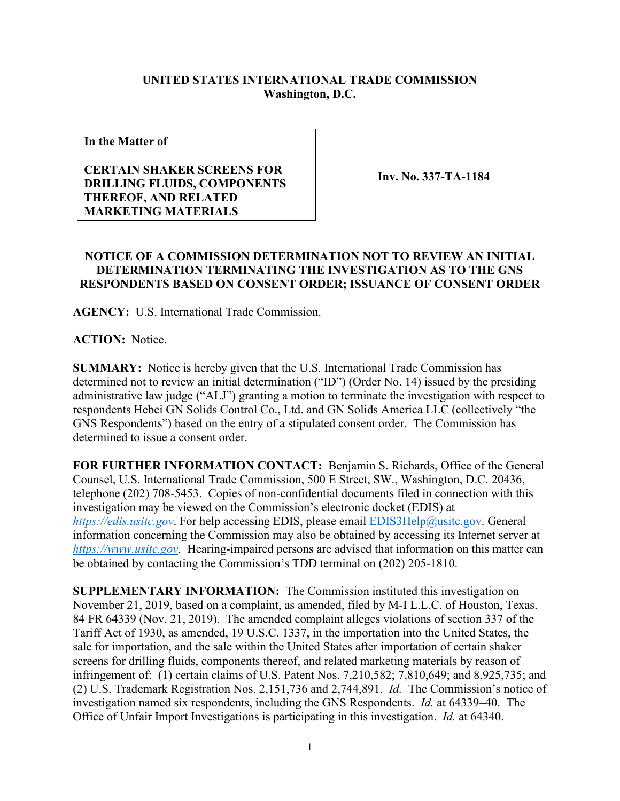## **UNITED STATES INTERNATIONAL TRADE COMMISSION Washington, D.C.**

**In the Matter of**

## **CERTAIN SHAKER SCREENS FOR DRILLING FLUIDS, COMPONENTS THEREOF, AND RELATED MARKETING MATERIALS**

**Inv. No. 337-TA-1184**

## **NOTICE OF A COMMISSION DETERMINATION NOT TO REVIEW AN INITIAL DETERMINATION TERMINATING THE INVESTIGATION AS TO THE GNS RESPONDENTS BASED ON CONSENT ORDER; ISSUANCE OF CONSENT ORDER**

**AGENCY:** U.S. International Trade Commission.

**ACTION:** Notice.

**SUMMARY:** Notice is hereby given that the U.S. International Trade Commission has determined not to review an initial determination ("ID") (Order No. 14) issued by the presiding administrative law judge ("ALJ") granting a motion to terminate the investigation with respect to respondents Hebei GN Solids Control Co., Ltd. and GN Solids America LLC (collectively "the GNS Respondents") based on the entry of a stipulated consent order. The Commission has determined to issue a consent order.

**FOR FURTHER INFORMATION CONTACT:** Benjamin S. Richards, Office of the General Counsel, U.S. International Trade Commission, 500 E Street, SW., Washington, D.C. 20436, telephone (202) 708-5453. Copies of non-confidential documents filed in connection with this investigation may be viewed on the Commission's electronic docket (EDIS) at *[https://edis.usitc.gov](https://edis.usitc.gov/)*. For help accessing EDIS, please email [EDIS3Help@usitc.gov.](mailto:EDIS3Help@usitc.gov) General information concerning the Commission may also be obtained by accessing its Internet server at *[https://www.usitc.gov](https://www.usitc.gov/)*. Hearing-impaired persons are advised that information on this matter can be obtained by contacting the Commission's TDD terminal on (202) 205-1810.

**SUPPLEMENTARY INFORMATION:** The Commission instituted this investigation on November 21, 2019, based on a complaint, as amended, filed by M-I L.L.C. of Houston, Texas. 84 FR 64339 (Nov. 21, 2019). The amended complaint alleges violations of section 337 of the Tariff Act of 1930, as amended, 19 U.S.C. 1337, in the importation into the United States, the sale for importation, and the sale within the United States after importation of certain shaker screens for drilling fluids, components thereof, and related marketing materials by reason of infringement of: (1) certain claims of U.S. Patent Nos. 7,210,582; 7,810,649; and 8,925,735; and (2) U.S. Trademark Registration Nos. 2,151,736 and 2,744,891. *Id.* The Commission's notice of investigation named six respondents, including the GNS Respondents. *Id.* at 64339–40. The Office of Unfair Import Investigations is participating in this investigation. *Id.* at 64340.